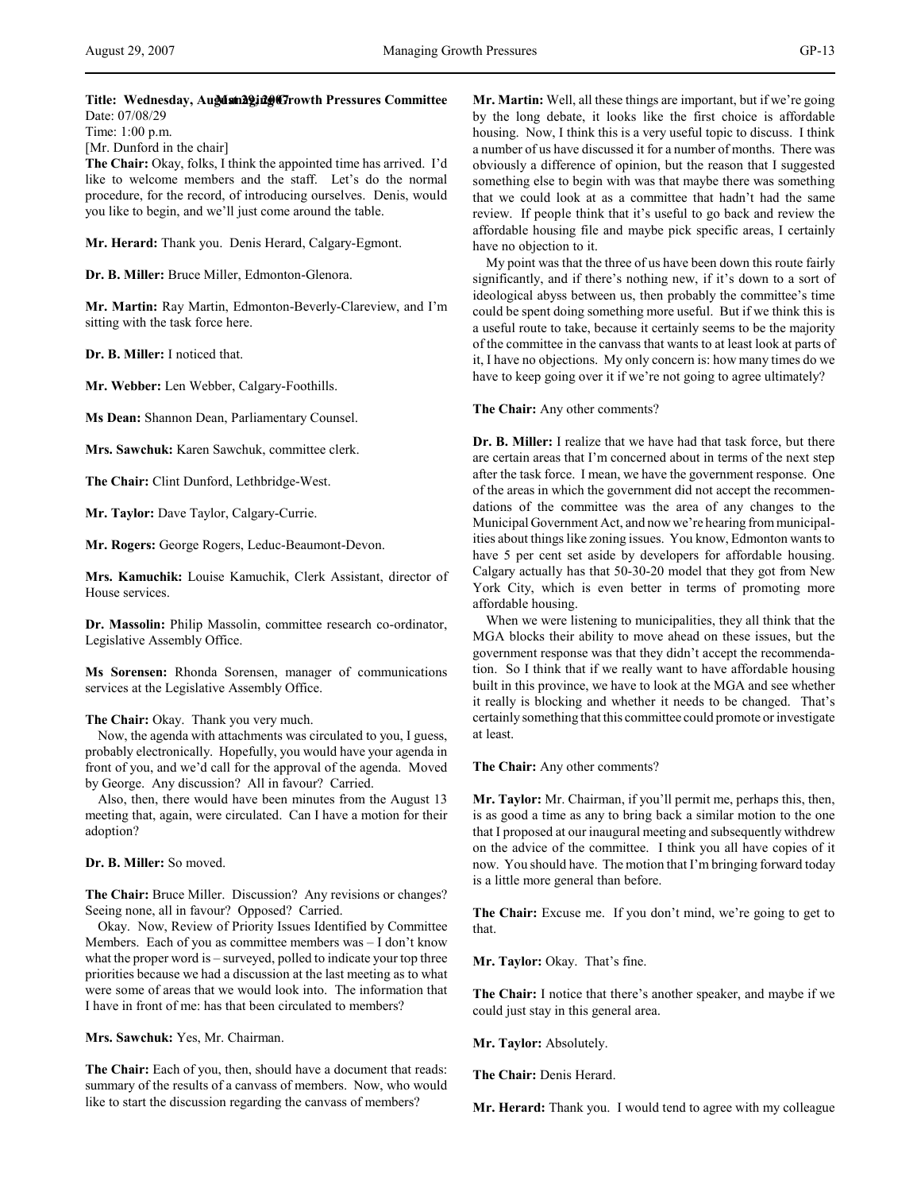# Title: Wednesday, Augdan2gidg@Trowth Pressures Committee Date: 07/08/29

Time: 1:00 p.m. [Mr. Dunford in the chair]

**The Chair:** Okay, folks, I think the appointed time has arrived. I'd like to welcome members and the staff. Let's do the normal procedure, for the record, of introducing ourselves. Denis, would you like to begin, and we'll just come around the table.

**Mr. Herard:** Thank you. Denis Herard, Calgary-Egmont.

**Dr. B. Miller:** Bruce Miller, Edmonton-Glenora.

**Mr. Martin:** Ray Martin, Edmonton-Beverly-Clareview, and I'm sitting with the task force here.

**Dr. B. Miller:** I noticed that.

**Mr. Webber:** Len Webber, Calgary-Foothills.

**Ms Dean:** Shannon Dean, Parliamentary Counsel.

**Mrs. Sawchuk:** Karen Sawchuk, committee clerk.

**The Chair:** Clint Dunford, Lethbridge-West.

**Mr. Taylor:** Dave Taylor, Calgary-Currie.

**Mr. Rogers:** George Rogers, Leduc-Beaumont-Devon.

**Mrs. Kamuchik:** Louise Kamuchik, Clerk Assistant, director of House services.

**Dr. Massolin:** Philip Massolin, committee research co-ordinator, Legislative Assembly Office.

**Ms Sorensen:** Rhonda Sorensen, manager of communications services at the Legislative Assembly Office.

# **The Chair:** Okay. Thank you very much.

Now, the agenda with attachments was circulated to you, I guess, probably electronically. Hopefully, you would have your agenda in front of you, and we'd call for the approval of the agenda. Moved by George. Any discussion? All in favour? Carried.

Also, then, there would have been minutes from the August 13 meeting that, again, were circulated. Can I have a motion for their adoption?

# **Dr. B. Miller:** So moved.

**The Chair:** Bruce Miller. Discussion? Any revisions or changes? Seeing none, all in favour? Opposed? Carried.

Okay. Now, Review of Priority Issues Identified by Committee Members. Each of you as committee members was – I don't know what the proper word is – surveyed, polled to indicate your top three priorities because we had a discussion at the last meeting as to what were some of areas that we would look into. The information that I have in front of me: has that been circulated to members?

**Mrs. Sawchuk:** Yes, Mr. Chairman.

**The Chair:** Each of you, then, should have a document that reads: summary of the results of a canvass of members. Now, who would like to start the discussion regarding the canvass of members?

**Mr. Martin:** Well, all these things are important, but if we're going by the long debate, it looks like the first choice is affordable housing. Now, I think this is a very useful topic to discuss. I think a number of us have discussed it for a number of months. There was obviously a difference of opinion, but the reason that I suggested something else to begin with was that maybe there was something that we could look at as a committee that hadn't had the same review. If people think that it's useful to go back and review the affordable housing file and maybe pick specific areas, I certainly have no objection to it.

My point was that the three of us have been down this route fairly significantly, and if there's nothing new, if it's down to a sort of ideological abyss between us, then probably the committee's time could be spent doing something more useful. But if we think this is a useful route to take, because it certainly seems to be the majority of the committee in the canvass that wants to at least look at parts of it, I have no objections. My only concern is: how many times do we have to keep going over it if we're not going to agree ultimately?

# **The Chair:** Any other comments?

**Dr. B. Miller:** I realize that we have had that task force, but there are certain areas that I'm concerned about in terms of the next step after the task force. I mean, we have the government response. One of the areas in which the government did not accept the recommendations of the committee was the area of any changes to the Municipal Government Act, and now we're hearing from municipalities about things like zoning issues. You know, Edmonton wants to have 5 per cent set aside by developers for affordable housing. Calgary actually has that 50-30-20 model that they got from New York City, which is even better in terms of promoting more affordable housing.

When we were listening to municipalities, they all think that the MGA blocks their ability to move ahead on these issues, but the government response was that they didn't accept the recommendation. So I think that if we really want to have affordable housing built in this province, we have to look at the MGA and see whether it really is blocking and whether it needs to be changed. That's certainly something that this committee could promote or investigate at least.

**The Chair:** Any other comments?

**Mr. Taylor:** Mr. Chairman, if you'll permit me, perhaps this, then, is as good a time as any to bring back a similar motion to the one that I proposed at our inaugural meeting and subsequently withdrew on the advice of the committee. I think you all have copies of it now. You should have. The motion that I'm bringing forward today is a little more general than before.

**The Chair:** Excuse me. If you don't mind, we're going to get to that.

**Mr. Taylor:** Okay. That's fine.

**The Chair:** I notice that there's another speaker, and maybe if we could just stay in this general area.

**Mr. Taylor:** Absolutely.

**The Chair:** Denis Herard.

**Mr. Herard:** Thank you. I would tend to agree with my colleague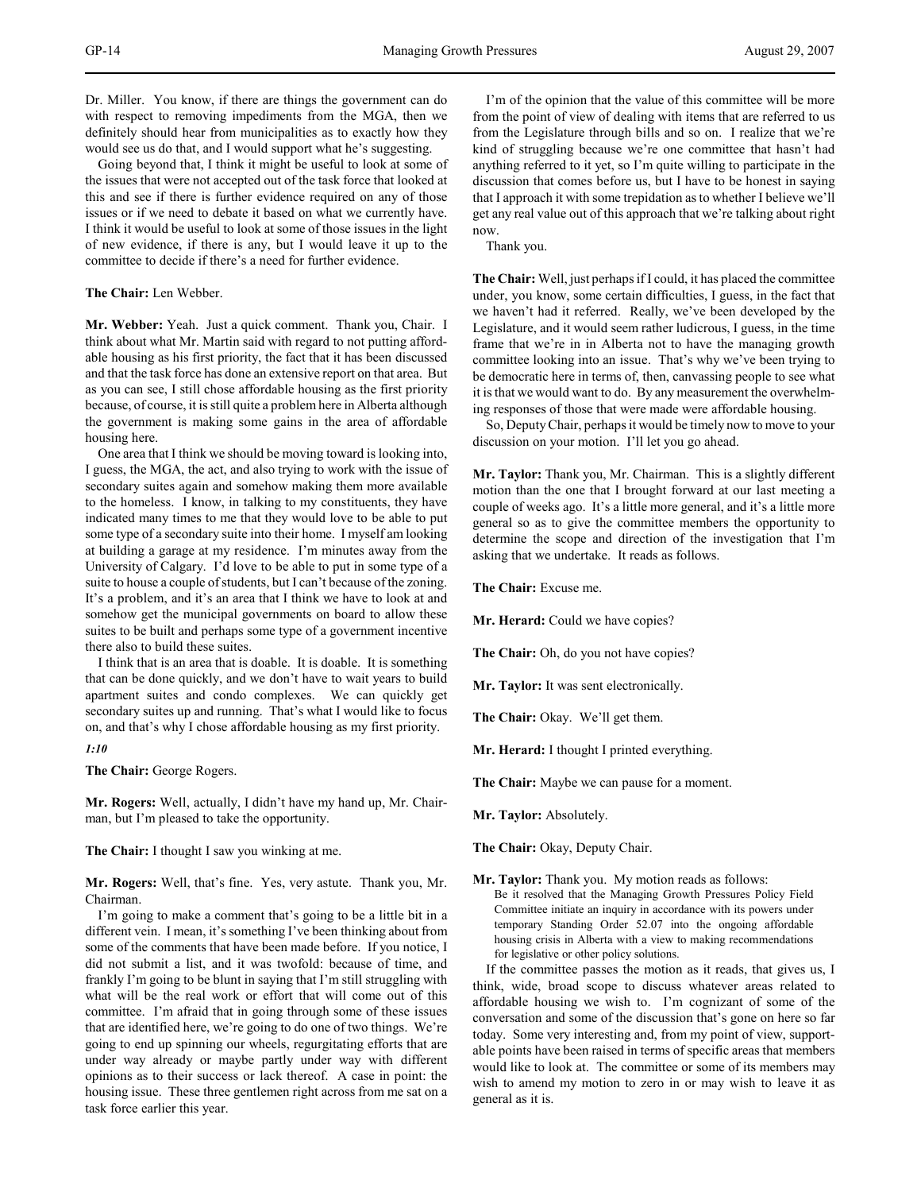Dr. Miller. You know, if there are things the government can do with respect to removing impediments from the MGA, then we definitely should hear from municipalities as to exactly how they would see us do that, and I would support what he's suggesting.

Going beyond that, I think it might be useful to look at some of the issues that were not accepted out of the task force that looked at this and see if there is further evidence required on any of those issues or if we need to debate it based on what we currently have. I think it would be useful to look at some of those issues in the light of new evidence, if there is any, but I would leave it up to the committee to decide if there's a need for further evidence.

### **The Chair:** Len Webber.

**Mr. Webber:** Yeah. Just a quick comment. Thank you, Chair. I think about what Mr. Martin said with regard to not putting affordable housing as his first priority, the fact that it has been discussed and that the task force has done an extensive report on that area. But as you can see, I still chose affordable housing as the first priority because, of course, it is still quite a problem here in Alberta although the government is making some gains in the area of affordable housing here.

One area that I think we should be moving toward is looking into, I guess, the MGA, the act, and also trying to work with the issue of secondary suites again and somehow making them more available to the homeless. I know, in talking to my constituents, they have indicated many times to me that they would love to be able to put some type of a secondary suite into their home. I myself am looking at building a garage at my residence. I'm minutes away from the University of Calgary. I'd love to be able to put in some type of a suite to house a couple of students, but I can't because of the zoning. It's a problem, and it's an area that I think we have to look at and somehow get the municipal governments on board to allow these suites to be built and perhaps some type of a government incentive there also to build these suites.

I think that is an area that is doable. It is doable. It is something that can be done quickly, and we don't have to wait years to build apartment suites and condo complexes. We can quickly get secondary suites up and running. That's what I would like to focus on, and that's why I chose affordable housing as my first priority.

# *1:10*

**The Chair:** George Rogers.

**Mr. Rogers:** Well, actually, I didn't have my hand up, Mr. Chairman, but I'm pleased to take the opportunity.

**The Chair:** I thought I saw you winking at me.

**Mr. Rogers:** Well, that's fine. Yes, very astute. Thank you, Mr. Chairman.

I'm going to make a comment that's going to be a little bit in a different vein. I mean, it's something I've been thinking about from some of the comments that have been made before. If you notice, I did not submit a list, and it was twofold: because of time, and frankly I'm going to be blunt in saying that I'm still struggling with what will be the real work or effort that will come out of this committee. I'm afraid that in going through some of these issues that are identified here, we're going to do one of two things. We're going to end up spinning our wheels, regurgitating efforts that are under way already or maybe partly under way with different opinions as to their success or lack thereof. A case in point: the housing issue. These three gentlemen right across from me sat on a task force earlier this year.

I'm of the opinion that the value of this committee will be more from the point of view of dealing with items that are referred to us from the Legislature through bills and so on. I realize that we're kind of struggling because we're one committee that hasn't had anything referred to it yet, so I'm quite willing to participate in the discussion that comes before us, but I have to be honest in saying that I approach it with some trepidation as to whether I believe we'll get any real value out of this approach that we're talking about right now.

Thank you.

**The Chair:** Well, just perhaps if I could, it has placed the committee under, you know, some certain difficulties, I guess, in the fact that we haven't had it referred. Really, we've been developed by the Legislature, and it would seem rather ludicrous, I guess, in the time frame that we're in in Alberta not to have the managing growth committee looking into an issue. That's why we've been trying to be democratic here in terms of, then, canvassing people to see what it is that we would want to do. By any measurement the overwhelming responses of those that were made were affordable housing.

So, Deputy Chair, perhaps it would be timely now to move to your discussion on your motion. I'll let you go ahead.

**Mr. Taylor:** Thank you, Mr. Chairman. This is a slightly different motion than the one that I brought forward at our last meeting a couple of weeks ago. It's a little more general, and it's a little more general so as to give the committee members the opportunity to determine the scope and direction of the investigation that I'm asking that we undertake. It reads as follows.

**The Chair:** Excuse me.

**Mr. Herard:** Could we have copies?

**The Chair:** Oh, do you not have copies?

**Mr. Taylor:** It was sent electronically.

**The Chair:** Okay. We'll get them.

**Mr. Herard:** I thought I printed everything.

**The Chair:** Maybe we can pause for a moment.

**Mr. Taylor:** Absolutely.

**The Chair:** Okay, Deputy Chair.

**Mr. Taylor:** Thank you. My motion reads as follows: Be it resolved that the Managing Growth Pressures Policy Field Committee initiate an inquiry in accordance with its powers under temporary Standing Order 52.07 into the ongoing affordable housing crisis in Alberta with a view to making recommendations for legislative or other policy solutions.

If the committee passes the motion as it reads, that gives us, I think, wide, broad scope to discuss whatever areas related to affordable housing we wish to. I'm cognizant of some of the conversation and some of the discussion that's gone on here so far today. Some very interesting and, from my point of view, supportable points have been raised in terms of specific areas that members would like to look at. The committee or some of its members may wish to amend my motion to zero in or may wish to leave it as general as it is.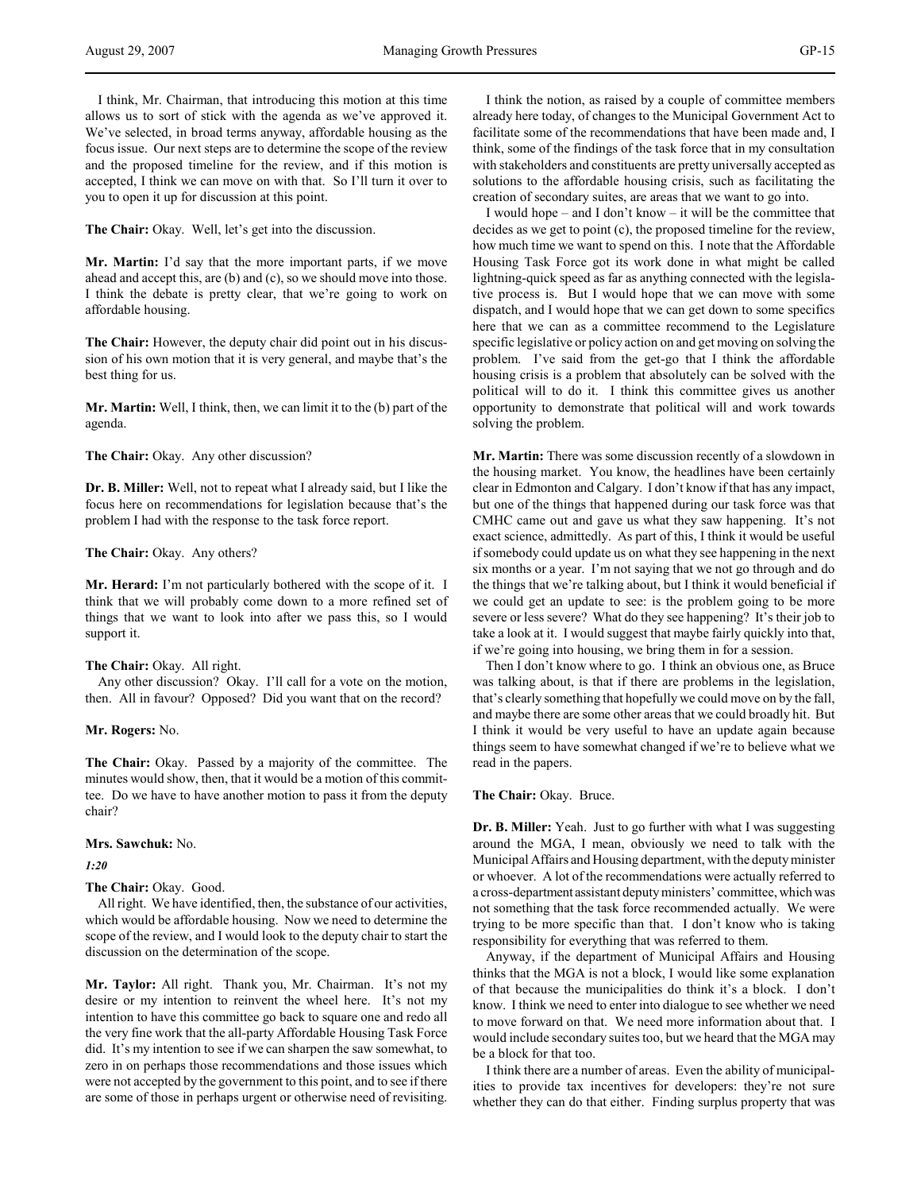I think, Mr. Chairman, that introducing this motion at this time allows us to sort of stick with the agenda as we've approved it. We've selected, in broad terms anyway, affordable housing as the focus issue. Our next steps are to determine the scope of the review and the proposed timeline for the review, and if this motion is accepted, I think we can move on with that. So I'll turn it over to you to open it up for discussion at this point.

**The Chair:** Okay. Well, let's get into the discussion.

**Mr. Martin:** I'd say that the more important parts, if we move ahead and accept this, are (b) and (c), so we should move into those. I think the debate is pretty clear, that we're going to work on affordable housing.

**The Chair:** However, the deputy chair did point out in his discussion of his own motion that it is very general, and maybe that's the best thing for us.

**Mr. Martin:** Well, I think, then, we can limit it to the (b) part of the agenda.

### **The Chair:** Okay. Any other discussion?

**Dr. B. Miller:** Well, not to repeat what I already said, but I like the focus here on recommendations for legislation because that's the problem I had with the response to the task force report.

## **The Chair:** Okay. Any others?

**Mr. Herard:** I'm not particularly bothered with the scope of it. I think that we will probably come down to a more refined set of things that we want to look into after we pass this, so I would support it.

#### **The Chair:** Okay. All right.

Any other discussion? Okay. I'll call for a vote on the motion, then. All in favour? Opposed? Did you want that on the record?

**Mr. Rogers:** No.

**The Chair:** Okay. Passed by a majority of the committee. The minutes would show, then, that it would be a motion of this committee. Do we have to have another motion to pass it from the deputy chair?

#### **Mrs. Sawchuk:** No.

*1:20*

#### **The Chair:** Okay. Good.

All right. We have identified, then, the substance of our activities, which would be affordable housing. Now we need to determine the scope of the review, and I would look to the deputy chair to start the discussion on the determination of the scope.

**Mr. Taylor:** All right. Thank you, Mr. Chairman. It's not my desire or my intention to reinvent the wheel here. It's not my intention to have this committee go back to square one and redo all the very fine work that the all-party Affordable Housing Task Force did. It's my intention to see if we can sharpen the saw somewhat, to zero in on perhaps those recommendations and those issues which were not accepted by the government to this point, and to see if there are some of those in perhaps urgent or otherwise need of revisiting.

I think the notion, as raised by a couple of committee members already here today, of changes to the Municipal Government Act to facilitate some of the recommendations that have been made and, I think, some of the findings of the task force that in my consultation with stakeholders and constituents are pretty universally accepted as solutions to the affordable housing crisis, such as facilitating the creation of secondary suites, are areas that we want to go into.

I would hope – and I don't know – it will be the committee that decides as we get to point (c), the proposed timeline for the review, how much time we want to spend on this. I note that the Affordable Housing Task Force got its work done in what might be called lightning-quick speed as far as anything connected with the legislative process is. But I would hope that we can move with some dispatch, and I would hope that we can get down to some specifics here that we can as a committee recommend to the Legislature specific legislative or policy action on and get moving on solving the problem. I've said from the get-go that I think the affordable housing crisis is a problem that absolutely can be solved with the political will to do it. I think this committee gives us another opportunity to demonstrate that political will and work towards solving the problem.

**Mr. Martin:** There was some discussion recently of a slowdown in the housing market. You know, the headlines have been certainly clear in Edmonton and Calgary. I don't know if that has any impact, but one of the things that happened during our task force was that CMHC came out and gave us what they saw happening. It's not exact science, admittedly. As part of this, I think it would be useful if somebody could update us on what they see happening in the next six months or a year. I'm not saying that we not go through and do the things that we're talking about, but I think it would beneficial if we could get an update to see: is the problem going to be more severe or less severe? What do they see happening? It's their job to take a look at it. I would suggest that maybe fairly quickly into that, if we're going into housing, we bring them in for a session.

Then I don't know where to go. I think an obvious one, as Bruce was talking about, is that if there are problems in the legislation, that's clearly something that hopefully we could move on by the fall, and maybe there are some other areas that we could broadly hit. But I think it would be very useful to have an update again because things seem to have somewhat changed if we're to believe what we read in the papers.

### **The Chair:** Okay. Bruce.

**Dr. B. Miller:** Yeah. Just to go further with what I was suggesting around the MGA, I mean, obviously we need to talk with the Municipal Affairs and Housing department, with the deputy minister or whoever. A lot of the recommendations were actually referred to a cross-department assistant deputy ministers' committee, which was not something that the task force recommended actually. We were trying to be more specific than that. I don't know who is taking responsibility for everything that was referred to them.

Anyway, if the department of Municipal Affairs and Housing thinks that the MGA is not a block, I would like some explanation of that because the municipalities do think it's a block. I don't know. I think we need to enter into dialogue to see whether we need to move forward on that. We need more information about that. I would include secondary suites too, but we heard that the MGA may be a block for that too.

I think there are a number of areas. Even the ability of municipalities to provide tax incentives for developers: they're not sure whether they can do that either. Finding surplus property that was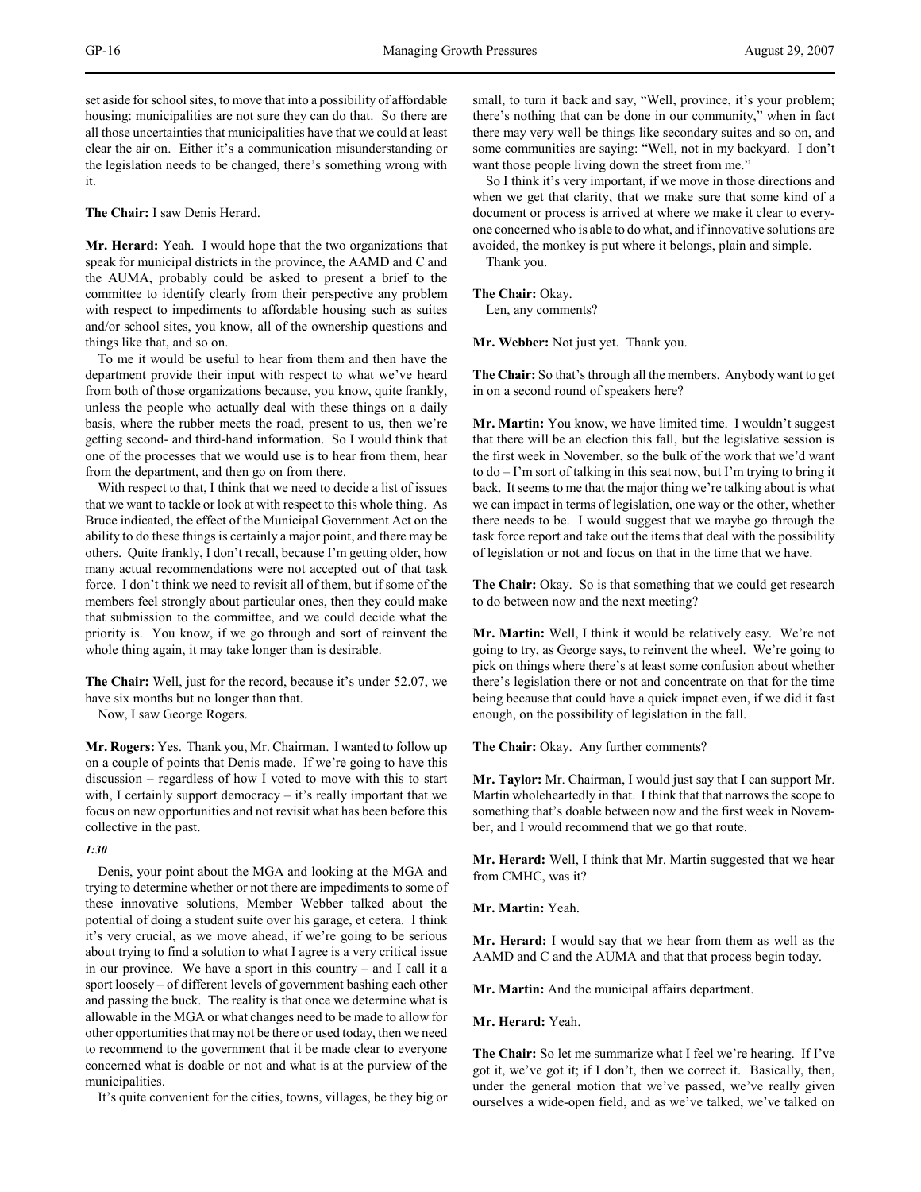set aside for school sites, to move that into a possibility of affordable housing: municipalities are not sure they can do that. So there are all those uncertainties that municipalities have that we could at least clear the air on. Either it's a communication misunderstanding or the legislation needs to be changed, there's something wrong with it.

**The Chair:** I saw Denis Herard.

**Mr. Herard:** Yeah. I would hope that the two organizations that speak for municipal districts in the province, the AAMD and C and the AUMA, probably could be asked to present a brief to the committee to identify clearly from their perspective any problem with respect to impediments to affordable housing such as suites and/or school sites, you know, all of the ownership questions and things like that, and so on.

To me it would be useful to hear from them and then have the department provide their input with respect to what we've heard from both of those organizations because, you know, quite frankly, unless the people who actually deal with these things on a daily basis, where the rubber meets the road, present to us, then we're getting second- and third-hand information. So I would think that one of the processes that we would use is to hear from them, hear from the department, and then go on from there.

With respect to that, I think that we need to decide a list of issues that we want to tackle or look at with respect to this whole thing. As Bruce indicated, the effect of the Municipal Government Act on the ability to do these things is certainly a major point, and there may be others. Quite frankly, I don't recall, because I'm getting older, how many actual recommendations were not accepted out of that task force. I don't think we need to revisit all of them, but if some of the members feel strongly about particular ones, then they could make that submission to the committee, and we could decide what the priority is. You know, if we go through and sort of reinvent the whole thing again, it may take longer than is desirable.

**The Chair:** Well, just for the record, because it's under 52.07, we have six months but no longer than that.

Now, I saw George Rogers.

**Mr. Rogers:** Yes. Thank you, Mr. Chairman. I wanted to follow up on a couple of points that Denis made. If we're going to have this discussion – regardless of how I voted to move with this to start with, I certainly support democracy – it's really important that we focus on new opportunities and not revisit what has been before this collective in the past.

#### *1:30*

Denis, your point about the MGA and looking at the MGA and trying to determine whether or not there are impediments to some of these innovative solutions, Member Webber talked about the potential of doing a student suite over his garage, et cetera. I think it's very crucial, as we move ahead, if we're going to be serious about trying to find a solution to what I agree is a very critical issue in our province. We have a sport in this country – and I call it a sport loosely – of different levels of government bashing each other and passing the buck. The reality is that once we determine what is allowable in the MGA or what changes need to be made to allow for other opportunities that may not be there or used today, then we need to recommend to the government that it be made clear to everyone concerned what is doable or not and what is at the purview of the municipalities.

It's quite convenient for the cities, towns, villages, be they big or

small, to turn it back and say, "Well, province, it's your problem; there's nothing that can be done in our community," when in fact there may very well be things like secondary suites and so on, and some communities are saying: "Well, not in my backyard. I don't want those people living down the street from me."

So I think it's very important, if we move in those directions and when we get that clarity, that we make sure that some kind of a document or process is arrived at where we make it clear to everyone concerned who is able to do what, and if innovative solutions are avoided, the monkey is put where it belongs, plain and simple.

Thank you.

**The Chair:** Okay.

Len, any comments?

**Mr. Webber:** Not just yet. Thank you.

**The Chair:** So that's through all the members. Anybody want to get in on a second round of speakers here?

**Mr. Martin:** You know, we have limited time. I wouldn't suggest that there will be an election this fall, but the legislative session is the first week in November, so the bulk of the work that we'd want to do – I'm sort of talking in this seat now, but I'm trying to bring it back. It seems to me that the major thing we're talking about is what we can impact in terms of legislation, one way or the other, whether there needs to be. I would suggest that we maybe go through the task force report and take out the items that deal with the possibility of legislation or not and focus on that in the time that we have.

**The Chair:** Okay. So is that something that we could get research to do between now and the next meeting?

**Mr. Martin:** Well, I think it would be relatively easy. We're not going to try, as George says, to reinvent the wheel. We're going to pick on things where there's at least some confusion about whether there's legislation there or not and concentrate on that for the time being because that could have a quick impact even, if we did it fast enough, on the possibility of legislation in the fall.

**The Chair:** Okay. Any further comments?

**Mr. Taylor:** Mr. Chairman, I would just say that I can support Mr. Martin wholeheartedly in that. I think that that narrows the scope to something that's doable between now and the first week in November, and I would recommend that we go that route.

**Mr. Herard:** Well, I think that Mr. Martin suggested that we hear from CMHC, was it?

**Mr. Martin:** Yeah.

**Mr. Herard:** I would say that we hear from them as well as the AAMD and C and the AUMA and that that process begin today.

**Mr. Martin:** And the municipal affairs department.

**Mr. Herard:** Yeah.

**The Chair:** So let me summarize what I feel we're hearing. If I've got it, we've got it; if I don't, then we correct it. Basically, then, under the general motion that we've passed, we've really given ourselves a wide-open field, and as we've talked, we've talked on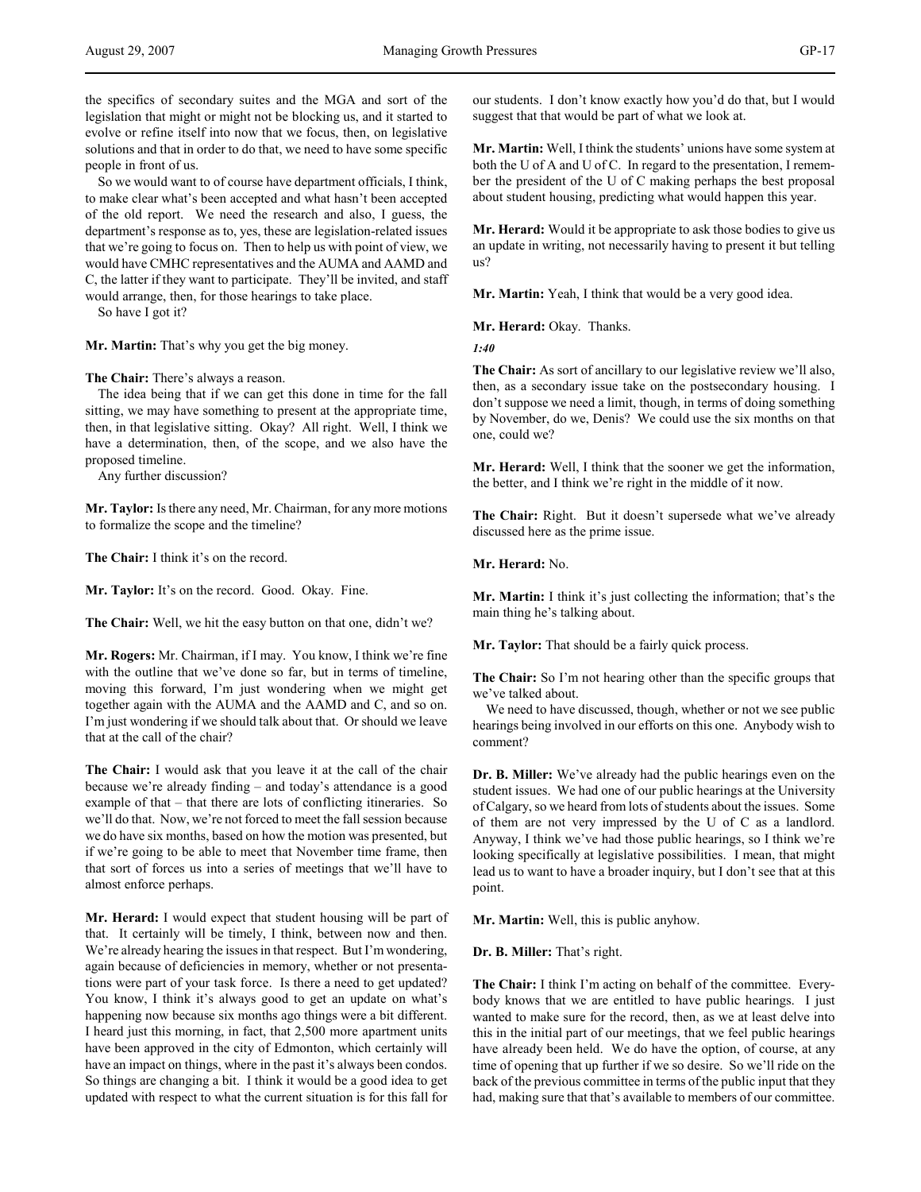the specifics of secondary suites and the MGA and sort of the legislation that might or might not be blocking us, and it started to evolve or refine itself into now that we focus, then, on legislative solutions and that in order to do that, we need to have some specific people in front of us.

So we would want to of course have department officials, I think, to make clear what's been accepted and what hasn't been accepted of the old report. We need the research and also, I guess, the department's response as to, yes, these are legislation-related issues that we're going to focus on. Then to help us with point of view, we would have CMHC representatives and the AUMA and AAMD and C, the latter if they want to participate. They'll be invited, and staff would arrange, then, for those hearings to take place.

So have I got it?

**Mr. Martin:** That's why you get the big money.

**The Chair:** There's always a reason.

The idea being that if we can get this done in time for the fall sitting, we may have something to present at the appropriate time, then, in that legislative sitting. Okay? All right. Well, I think we have a determination, then, of the scope, and we also have the proposed timeline.

Any further discussion?

**Mr. Taylor:** Is there any need, Mr. Chairman, for any more motions to formalize the scope and the timeline?

**The Chair:** I think it's on the record.

**Mr. Taylor:** It's on the record. Good. Okay. Fine.

**The Chair:** Well, we hit the easy button on that one, didn't we?

**Mr. Rogers:** Mr. Chairman, if I may. You know, I think we're fine with the outline that we've done so far, but in terms of timeline, moving this forward, I'm just wondering when we might get together again with the AUMA and the AAMD and C, and so on. I'm just wondering if we should talk about that. Or should we leave that at the call of the chair?

**The Chair:** I would ask that you leave it at the call of the chair because we're already finding – and today's attendance is a good example of that – that there are lots of conflicting itineraries. So we'll do that. Now, we're not forced to meet the fall session because we do have six months, based on how the motion was presented, but if we're going to be able to meet that November time frame, then that sort of forces us into a series of meetings that we'll have to almost enforce perhaps.

**Mr. Herard:** I would expect that student housing will be part of that. It certainly will be timely, I think, between now and then. We're already hearing the issues in that respect. But I'm wondering, again because of deficiencies in memory, whether or not presentations were part of your task force. Is there a need to get updated? You know, I think it's always good to get an update on what's happening now because six months ago things were a bit different. I heard just this morning, in fact, that 2,500 more apartment units have been approved in the city of Edmonton, which certainly will have an impact on things, where in the past it's always been condos. So things are changing a bit. I think it would be a good idea to get updated with respect to what the current situation is for this fall for

our students. I don't know exactly how you'd do that, but I would suggest that that would be part of what we look at.

**Mr. Martin:** Well, I think the students' unions have some system at both the U of A and U of C. In regard to the presentation, I remember the president of the U of C making perhaps the best proposal about student housing, predicting what would happen this year.

**Mr. Herard:** Would it be appropriate to ask those bodies to give us an update in writing, not necessarily having to present it but telling us?

**Mr. Martin:** Yeah, I think that would be a very good idea.

**Mr. Herard:** Okay. Thanks.

*1:40*

**The Chair:** As sort of ancillary to our legislative review we'll also, then, as a secondary issue take on the postsecondary housing. I don't suppose we need a limit, though, in terms of doing something by November, do we, Denis? We could use the six months on that one, could we?

**Mr. Herard:** Well, I think that the sooner we get the information, the better, and I think we're right in the middle of it now.

**The Chair:** Right. But it doesn't supersede what we've already discussed here as the prime issue.

**Mr. Herard:** No.

**Mr. Martin:** I think it's just collecting the information; that's the main thing he's talking about.

**Mr. Taylor:** That should be a fairly quick process.

**The Chair:** So I'm not hearing other than the specific groups that we've talked about.

We need to have discussed, though, whether or not we see public hearings being involved in our efforts on this one. Anybody wish to comment?

**Dr. B. Miller:** We've already had the public hearings even on the student issues. We had one of our public hearings at the University of Calgary, so we heard from lots of students about the issues. Some of them are not very impressed by the U of C as a landlord. Anyway, I think we've had those public hearings, so I think we're looking specifically at legislative possibilities. I mean, that might lead us to want to have a broader inquiry, but I don't see that at this point.

**Mr. Martin:** Well, this is public anyhow.

**Dr. B. Miller:** That's right.

**The Chair:** I think I'm acting on behalf of the committee. Everybody knows that we are entitled to have public hearings. I just wanted to make sure for the record, then, as we at least delve into this in the initial part of our meetings, that we feel public hearings have already been held. We do have the option, of course, at any time of opening that up further if we so desire. So we'll ride on the back of the previous committee in terms of the public input that they had, making sure that that's available to members of our committee.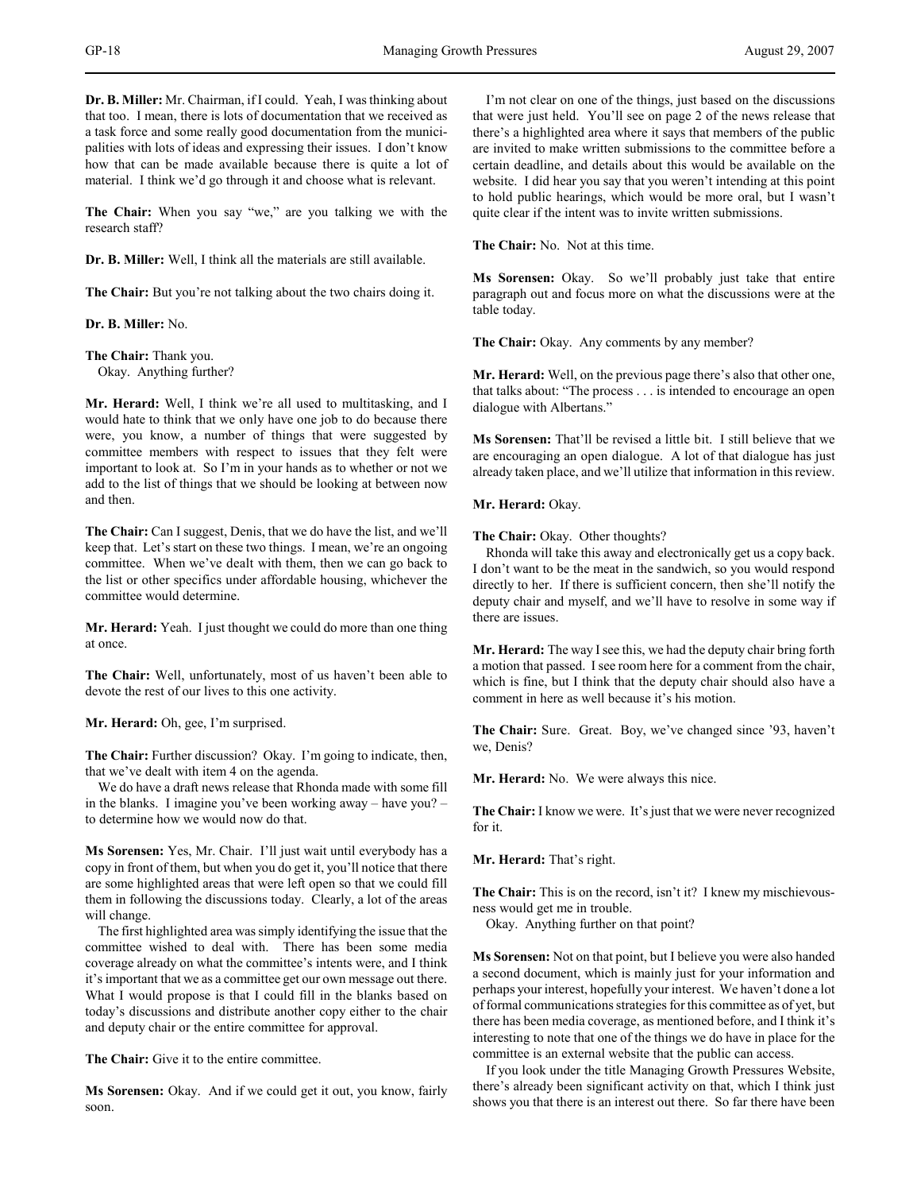**Dr. B. Miller:** Mr. Chairman, if I could. Yeah, I was thinking about that too. I mean, there is lots of documentation that we received as a task force and some really good documentation from the municipalities with lots of ideas and expressing their issues. I don't know how that can be made available because there is quite a lot of material. I think we'd go through it and choose what is relevant.

**The Chair:** When you say "we," are you talking we with the research staff?

**Dr. B. Miller:** Well, I think all the materials are still available.

**The Chair:** But you're not talking about the two chairs doing it.

**Dr. B. Miller:** No.

**The Chair:** Thank you. Okay. Anything further?

**Mr. Herard:** Well, I think we're all used to multitasking, and I would hate to think that we only have one job to do because there were, you know, a number of things that were suggested by committee members with respect to issues that they felt were important to look at. So I'm in your hands as to whether or not we add to the list of things that we should be looking at between now and then.

**The Chair:** Can I suggest, Denis, that we do have the list, and we'll keep that. Let's start on these two things. I mean, we're an ongoing committee. When we've dealt with them, then we can go back to the list or other specifics under affordable housing, whichever the committee would determine.

**Mr. Herard:** Yeah. I just thought we could do more than one thing at once.

**The Chair:** Well, unfortunately, most of us haven't been able to devote the rest of our lives to this one activity.

**Mr. Herard:** Oh, gee, I'm surprised.

**The Chair:** Further discussion? Okay. I'm going to indicate, then, that we've dealt with item 4 on the agenda.

We do have a draft news release that Rhonda made with some fill in the blanks. I imagine you've been working away – have you? – to determine how we would now do that.

**Ms Sorensen:** Yes, Mr. Chair. I'll just wait until everybody has a copy in front of them, but when you do get it, you'll notice that there are some highlighted areas that were left open so that we could fill them in following the discussions today. Clearly, a lot of the areas will change.

The first highlighted area was simply identifying the issue that the committee wished to deal with. There has been some media coverage already on what the committee's intents were, and I think it's important that we as a committee get our own message out there. What I would propose is that I could fill in the blanks based on today's discussions and distribute another copy either to the chair and deputy chair or the entire committee for approval.

**The Chair:** Give it to the entire committee.

**Ms Sorensen:** Okay. And if we could get it out, you know, fairly soon.

I'm not clear on one of the things, just based on the discussions that were just held. You'll see on page 2 of the news release that there's a highlighted area where it says that members of the public are invited to make written submissions to the committee before a certain deadline, and details about this would be available on the website. I did hear you say that you weren't intending at this point to hold public hearings, which would be more oral, but I wasn't quite clear if the intent was to invite written submissions.

**The Chair:** No. Not at this time.

**Ms Sorensen:** Okay. So we'll probably just take that entire paragraph out and focus more on what the discussions were at the table today.

**The Chair:** Okay. Any comments by any member?

**Mr. Herard:** Well, on the previous page there's also that other one, that talks about: "The process . . . is intended to encourage an open dialogue with Albertans."

**Ms Sorensen:** That'll be revised a little bit. I still believe that we are encouraging an open dialogue. A lot of that dialogue has just already taken place, and we'll utilize that information in this review.

# **Mr. Herard:** Okay.

**The Chair:** Okay. Other thoughts?

Rhonda will take this away and electronically get us a copy back. I don't want to be the meat in the sandwich, so you would respond directly to her. If there is sufficient concern, then she'll notify the deputy chair and myself, and we'll have to resolve in some way if there are issues.

**Mr. Herard:** The way I see this, we had the deputy chair bring forth a motion that passed. I see room here for a comment from the chair, which is fine, but I think that the deputy chair should also have a comment in here as well because it's his motion.

**The Chair:** Sure. Great. Boy, we've changed since '93, haven't we, Denis?

**Mr. Herard:** No. We were always this nice.

**The Chair:** I know we were. It's just that we were never recognized for it.

**Mr. Herard:** That's right.

**The Chair:** This is on the record, isn't it? I knew my mischievousness would get me in trouble.

Okay. Anything further on that point?

**Ms Sorensen:** Not on that point, but I believe you were also handed a second document, which is mainly just for your information and perhaps your interest, hopefully your interest. We haven't done a lot of formal communications strategies for this committee as of yet, but there has been media coverage, as mentioned before, and I think it's interesting to note that one of the things we do have in place for the committee is an external website that the public can access.

If you look under the title Managing Growth Pressures Website, there's already been significant activity on that, which I think just shows you that there is an interest out there. So far there have been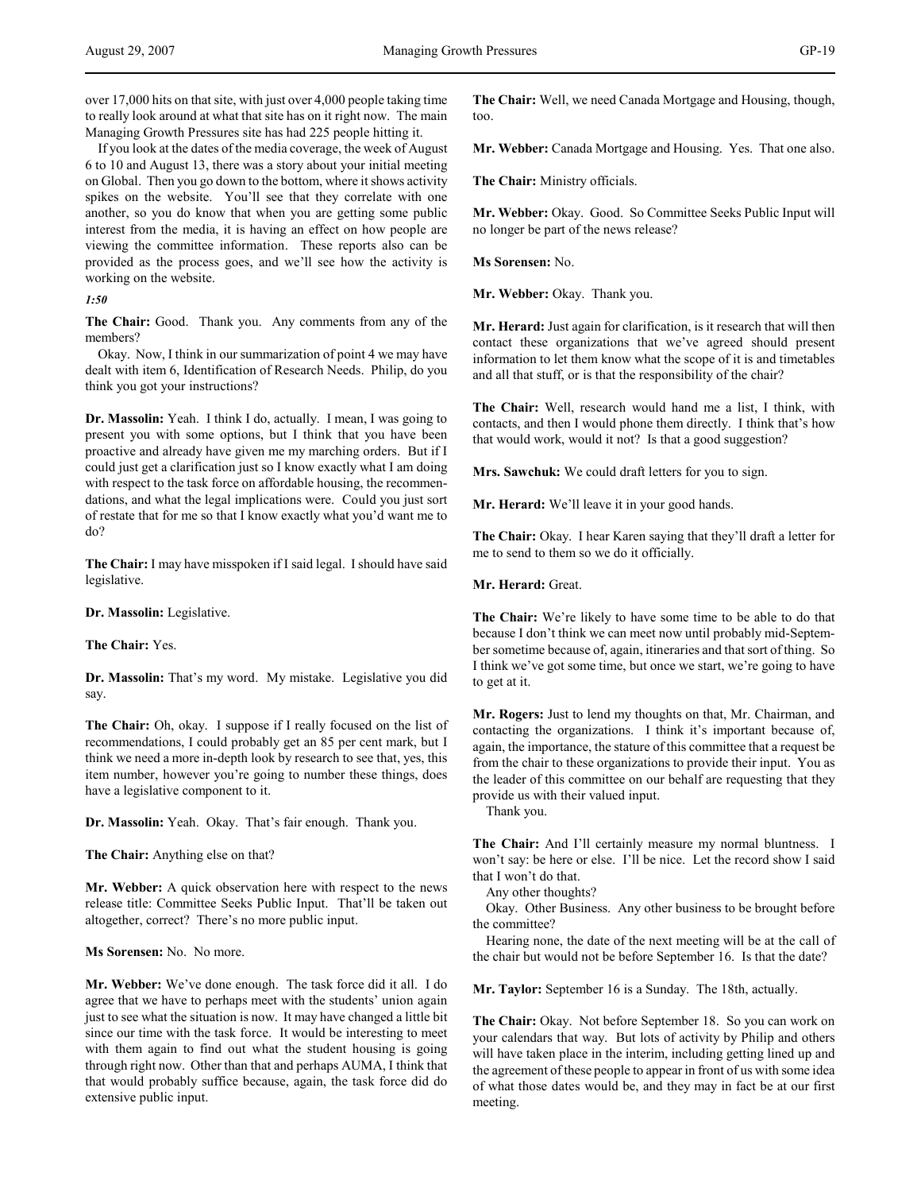over 17,000 hits on that site, with just over 4,000 people taking time to really look around at what that site has on it right now. The main Managing Growth Pressures site has had 225 people hitting it.

If you look at the dates of the media coverage, the week of August 6 to 10 and August 13, there was a story about your initial meeting on Global. Then you go down to the bottom, where it shows activity spikes on the website. You'll see that they correlate with one another, so you do know that when you are getting some public interest from the media, it is having an effect on how people are viewing the committee information. These reports also can be provided as the process goes, and we'll see how the activity is working on the website.

*1:50*

**The Chair:** Good. Thank you. Any comments from any of the members?

Okay. Now, I think in our summarization of point 4 we may have dealt with item 6, Identification of Research Needs. Philip, do you think you got your instructions?

**Dr. Massolin:** Yeah. I think I do, actually. I mean, I was going to present you with some options, but I think that you have been proactive and already have given me my marching orders. But if I could just get a clarification just so I know exactly what I am doing with respect to the task force on affordable housing, the recommendations, and what the legal implications were. Could you just sort of restate that for me so that I know exactly what you'd want me to do?

**The Chair:** I may have misspoken if I said legal. I should have said legislative.

**Dr. Massolin:** Legislative.

**The Chair:** Yes.

**Dr. Massolin:** That's my word. My mistake. Legislative you did say.

**The Chair:** Oh, okay. I suppose if I really focused on the list of recommendations, I could probably get an 85 per cent mark, but I think we need a more in-depth look by research to see that, yes, this item number, however you're going to number these things, does have a legislative component to it.

**Dr. Massolin:** Yeah. Okay. That's fair enough. Thank you.

**The Chair:** Anything else on that?

**Mr. Webber:** A quick observation here with respect to the news release title: Committee Seeks Public Input. That'll be taken out altogether, correct? There's no more public input.

**Ms Sorensen:** No. No more.

**Mr. Webber:** We've done enough. The task force did it all. I do agree that we have to perhaps meet with the students' union again just to see what the situation is now. It may have changed a little bit since our time with the task force. It would be interesting to meet with them again to find out what the student housing is going through right now. Other than that and perhaps AUMA, I think that that would probably suffice because, again, the task force did do extensive public input.

**The Chair:** Well, we need Canada Mortgage and Housing, though, too.

**Mr. Webber:** Canada Mortgage and Housing. Yes. That one also.

**The Chair:** Ministry officials.

**Mr. Webber:** Okay. Good. So Committee Seeks Public Input will no longer be part of the news release?

**Ms Sorensen:** No.

**Mr. Webber:** Okay. Thank you.

**Mr. Herard:** Just again for clarification, is it research that will then contact these organizations that we've agreed should present information to let them know what the scope of it is and timetables and all that stuff, or is that the responsibility of the chair?

**The Chair:** Well, research would hand me a list, I think, with contacts, and then I would phone them directly. I think that's how that would work, would it not? Is that a good suggestion?

**Mrs. Sawchuk:** We could draft letters for you to sign.

**Mr. Herard:** We'll leave it in your good hands.

**The Chair:** Okay. I hear Karen saying that they'll draft a letter for me to send to them so we do it officially.

**Mr. Herard:** Great.

**The Chair:** We're likely to have some time to be able to do that because I don't think we can meet now until probably mid-September sometime because of, again, itineraries and that sort of thing. So I think we've got some time, but once we start, we're going to have to get at it.

**Mr. Rogers:** Just to lend my thoughts on that, Mr. Chairman, and contacting the organizations. I think it's important because of, again, the importance, the stature of this committee that a request be from the chair to these organizations to provide their input. You as the leader of this committee on our behalf are requesting that they provide us with their valued input.

Thank you.

**The Chair:** And I'll certainly measure my normal bluntness. I won't say: be here or else. I'll be nice. Let the record show I said that I won't do that.

Any other thoughts?

Okay. Other Business. Any other business to be brought before the committee?

Hearing none, the date of the next meeting will be at the call of the chair but would not be before September 16. Is that the date?

**Mr. Taylor:** September 16 is a Sunday. The 18th, actually.

**The Chair:** Okay. Not before September 18. So you can work on your calendars that way. But lots of activity by Philip and others will have taken place in the interim, including getting lined up and the agreement of these people to appear in front of us with some idea of what those dates would be, and they may in fact be at our first meeting.